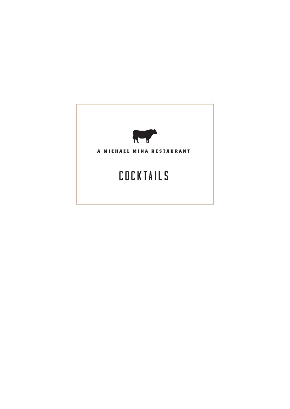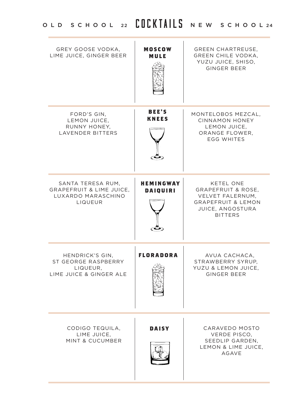| <b>GREY GOOSE VODKA.</b><br>LIME JUICE, GINGER BEER                                       | <b>MOSCOW</b><br>MULE               | <b>GREEN CHARTREUSE.</b><br>GREEN CHILE VODKA,<br>YUZU JUICE, SHISO,<br><b>GINGER BEER</b>                                            |
|-------------------------------------------------------------------------------------------|-------------------------------------|---------------------------------------------------------------------------------------------------------------------------------------|
| FORD'S GIN.<br>LEMON JUICE,<br>RUNNY HONEY.<br><b>LAVENDER BITTERS</b>                    | <b>BEE'S</b><br><b>KNEES</b>        | MONTELOBOS MEZCAL.<br><b>CINNAMON HONEY</b><br>LEMON JUICE,<br>ORANGE FLOWER.<br><b>EGG WHITES</b>                                    |
| SANTA TERESA RUM,<br><b>GRAPEFRUIT &amp; LIME JUICE.</b><br>LUXARDO MARASCHINO<br>LIQUEUR | <b>HEMINGWAY</b><br><b>DAIQUIRI</b> | KETEL ONE<br><b>GRAPEFRUIT &amp; ROSE.</b><br>VELVET FALERNUM.<br><b>GRAPEFRUIT &amp; LEMON</b><br>JUICE, ANGOSTURA<br><b>BITTERS</b> |
| HENDRICK'S GIN,<br>ST GEORGE RASPBERRY<br>LIQUEUR.<br>LIME JUICE & GINGER ALE             | <b>FLORADORA</b>                    | AVUA CACHACA,<br>STRAWBERRY SYRUP,<br>YUZU & LEMON JUICE,<br><b>GINGER BEER</b>                                                       |
| CODIGO TEQUILA,<br>LIME JUICE.<br>MINT & CUCUMBER                                         | DAISY                               | CARAVEDO MOSTO<br><b>VERDE PISCO.</b><br>SEEDLIP GARDEN,<br>LEMON & LIME JUICE,<br>AGAVE                                              |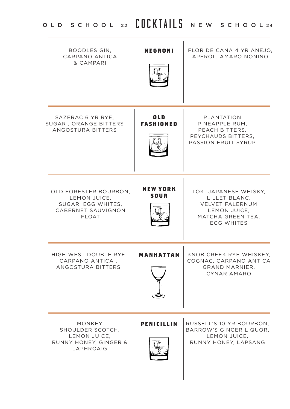# OLD SCHOOL 22 COCKTAILS NEW SCHOOL 24

| BOODLES GIN,<br>CARPANO ANTICA<br>& CAMPARI                                                       | NEGRONI                        | FLOR DE CANA 4 YR ANEJO,<br>APEROL, AMARO NONINO                                                                           |
|---------------------------------------------------------------------------------------------------|--------------------------------|----------------------------------------------------------------------------------------------------------------------------|
| SAZERAC 6 YR RYE,<br>SUGAR , ORANGE BITTERS<br>ANGOSTURA BITTERS                                  | <b>OLD</b><br><b>FASHIONED</b> | PLANTATION<br>PINEAPPLE RUM,<br>PEACH BITTERS.<br>PEYCHAUDS BITTERS,<br>PASSION FRUIT SYRUP                                |
| OLD FORESTER BOURBON.<br>LEMON JUICE.<br>SUGAR, EGG WHITES,<br>CABERNET SAUVIGNON<br><b>FLOAT</b> | <b>NEW YORK</b><br>SOUR        | TOKI JAPANESE WHISKY,<br>LILLET BLANC.<br><b>VELVET FALERNUM</b><br>LEMON JUICE,<br>MATCHA GREEN TEA,<br><b>EGG WHITES</b> |
| HIGH WEST DOUBLE RYE<br>CARPANO ANTICA.<br>ANGOSTURA BITTERS                                      | MANHATTAN                      | KNOB CREEK RYE WHISKEY,<br>COGNAC, CARPANO ANTICA<br>GRAND MARNIER,<br>CYNAR AMARO                                         |
| <b>MONKEY</b><br>SHOULDER SCOTCH,<br>LEMON JUICE,<br>RUNNY HONEY, GINGER &<br>LAPHROAIG           | <b>PENICILLIN</b>              | RUSSELL'S 10 YR BOURBON,<br>BARROW'S GINGER LIQUOR,<br>LEMON JUICE,<br>RUNNY HONEY, LAPSANG                                |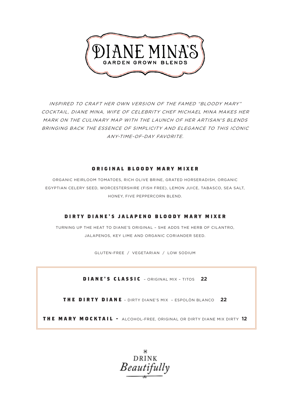

INSPIRED TO CRAFT HER OWN VERSION OF THE FAMED "BLOODY MARY" COCKTAIL, DIANE MINA, WIFE OF CELEBRITY CHEF MICHAEL MINA MAKES HER MARK ON THE CULINARY MAP WITH THE LAUNCH OF HER ARTISAN'S BLENDS BRINGING BACK THE ESSENCE OF SIMPLICITY AND ELEGANCE TO THIS ICONIC ANY-TIME-OF-DAY FAVORITE.

#### **O R I G I N A L B L O O D Y M A R Y M I X E R**

ORGANIC HEIRLOOM TOMATOES, RICH OLIVE BRINE, GRATED HORSERADISH, ORGANIC EGYPTIAN CELERY SEED, WORCESTERSHIRE (FISH FREE), LEMON JUICE, TABASCO, SEA SALT, HONEY, FIVE PEPPERCORN BLEND.

#### **DIRTY DIANE'S JALAPENO BLOODY MARY MIXER**

TURNING UP THE HEAT TO DIANE'S ORIGINAL – SHE ADDS THE HERB OF CILANTRO, JALAPENOS, KEY LIME AND ORGANIC CORIANDER SEED.

GLUTEN-FREE / VEGETARIAN / LOW SODIUM

**DIANE'S CLASSIC** – ORIGINAL MIX – TITOS **22**

**THE DIRTY DIANE** – DIRTY DIANE'S MIX – ESPOLÒN BLANCO **22**

**THE MARY MOCKTAIL -** ALCOHOL-FREE, ORIGINAL OR DIRTY DIANE MIX DIRTY **12**

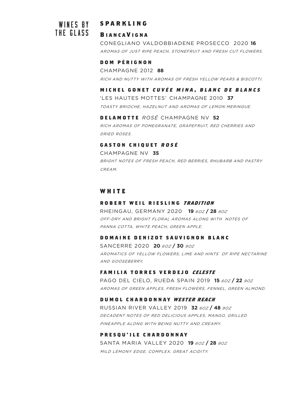# **B IANCA V IGNA**  THE GLASS

# WINES BY **SPARKLING**

CONEGLIANO VALDOBBIADENE PROSECCO 2020 **16**  AROMAS OF JUST RIPE PEACH, STONEFRUIT AND FRESH CUT FLOWERS.

#### **D O M P É R I G N O N**

CHAMPAGNE 2012 **88**  RICH AND NUTTY WITH AROMAS OF FRESH YELLOW PEARS & BISCOTTI.

#### MICHEL GONET CUVÉE MINA, BLANC DE BLANCS

'LES HAUTES MOTTES' CHAMPAGNE 2010 **37**  TOASTY BRIOCHE, HAZELNUT AND AROMAS OF LEMON MERINGUE.

#### **DELAMOTTE** *ROSÉ* CHAMPAGNE NV **52**

RICH AROMAS OF POMEGRANATE, GRAPEFRUIT, RED CHERRIES AND DRIED ROSES.

#### **GASTON CHIQUET ROSÉ**

CHAMPAGNE NV **35** BRIGHT NOTES OF FRESH PEACH, RED BERRIES, RHUBARB AND PASTRY CREAM.

#### **W H I T E**

#### **ROBERT WEIL RIESLING TRADITION**

RHEINGAU, GERMANY 2020 **19** 6OZ **/ 28** 9OZ OFF-DRY AND BRIGHT FLORAL AROMAS ALONG WITH NOTES OF PANNA COTTA, WHITE PEACH, GREEN APPLE.

#### **DOMAINE DENIZOT SAUVIGNON BLANC**

SANCERRE 2020 **20** 6OZ **/ 30** 9OZ AROMATICS OF YELLOW FLOWERS, LIME AND HINTS OF RIPE NECTARINE AND GOOSEBERRY.

#### **FAMILIA TORRES VERDEJO CELESTE**

PAGO DEL CIELO, RUEDA SPAIN 2019 **15** 6OZ **/ 22** 9OZ AROMAS OF GREEN APPLES, FRESH FLOWERS, FENNEL, GREEN ALMOND.

#### **DUMOL CHARDONNAY WESTER REACH**

RUSSIAN RIVER VALLEY 2019 **32** 6OZ **/ 48** 9OZ DECADENT NOTES OF RED DELICIOUS APPLES, MANGO, GRILLED PINEAPPLE ALONG WITH BEING NUTTY AND CREAMY.

#### **PRESQU'ILE CHARDONNAY**

SANTA MARIA VALLEY 2020 **19** 6OZ **/ 28** 9OZ MILD LEMONY EDGE, COMPLEX, GREAT ACIDITY.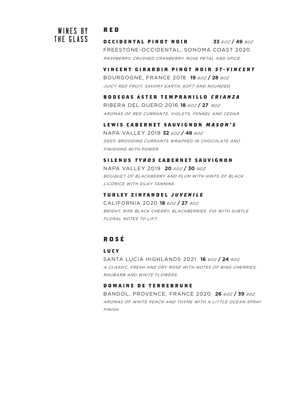# WINES BY THE GLASS

## **RED**

**OCCIDENTAL PINOT NOIR 33** 6OZ **/ 49** 9OZ FREESTONE-OCCIDENTAL, SONOMA COAST 2020 RASPBERRY, CRUSHED CRANBERRY, ROSE PETAL AND SPICE.

**VINCENT GIRARDIN PINOT NOIR ST-VINCENT** 

BOURGOGNE, FRANCE 2018 **19** 6OZ **/ 28** 9OZ JUICY RED FRUIT, SAVORY EARTH, SOFT AND ROUNDED.

#### **BODEGAS á STER TEMPRANILLO C R I A N Z A**

RIBERA DEL DUERO 2016 **18** 6OZ **/ 27** 9OZ AROMAS OF RED CURRANTS, VIOLETS, FENNEL AND CEDAR.

#### **LEWIS CABERNET SAUVIGNON MASON'S**

NAPA VALLEY 2019 **32** 6OZ **/ 48** 9OZ DEEP, BROODING CURRANTS WRAPPED IN CHOCOLATE AND FINISHING WITH POWER.

#### **SILENUS TYROS CABERNET SAUVIGNON**

NAPA VALLEY 2019 **20** 6OZ **/ 30** 9OZ BOUQUET OF BLACKBERRY AND PLUM WITH HINTS OF BLACK LICORICE WITH SILKY TANNINS.

#### **TURLEY ZINFANDEL JUVENILE**

CALIFORNIA 2020 **18** 6OZ **/ 27** 9OZ BRIGHT, RIPE BLACK CHERRY, BLACKBERRIES, FIG WITH SUBTLE FLORAL NOTES TO LIFT.

# **ROS É**

#### **L U C Y**

SANTA LUCIA HIGHLANDS 2021 **16** 6OZ **/ 24** 9OZ A CLASSIC, FRESH AND DRY ROSÉ WITH NOTES OF BING CHERRIES, RHUBARB AND WHITE FLOWERS.

#### **D O M A I N E D E T E R R E B R U N E**

BANDOL, PROVENCE, FRANCE 2020 **26** 6OZ **/ 39** 9OZ AROMAS OF WHITE PEACH AND THYME WITH A LITTLE OCEAN SPRAY FINISH.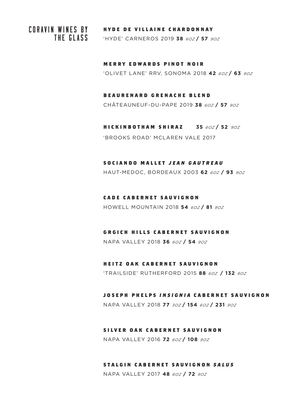THE GLASS

# **CORAVIN WINES BY HYDE DE VILLAINE CHARDONNAY**

'HYDE' CARNEROS 2019 **38** 6OZ **/ 57** 9OZ

**MERRY EDWARDS PINOT NOIR** 'OLIVET LANE' RRV, SONOMA 2018 **42** 6OZ **/ 63** 9OZ

# **B E A U R E N A R D G R E N A C H E B L E N D**

CHÂTEAUNEUF-DU-PAPE 2019 **38** 6OZ **/ 57** 9OZ

**HICKINBOTHAM SHIRAZ 35** 6OZ **/ 52** 9OZ 'BROOKS ROAD' MCLAREN VALE 2017

#### **SOCIANDO MALLET JEAN GAUTREAU**

HAUT-MEDOC, BORDEAUX 2003 **62** 6OZ **/ 93** 9OZ

#### **CADE CABERNET SAUVIGNON**

HOWELL MOUNTAIN 2018 **54** 6OZ **/ 81** 9OZ

#### **GRGICH HILLS CABERNET SAUVIGNON**

NAPA VALLEY 2018 **36** 6OZ **/ 54** 9OZ

#### **HEITZ OAK CABERNET SAUVIGNON**

'TRAILSIDE' RUTHERFORD 2015 **88** 6OZ **/ 132** 9OZ

#### **JOSEPH PHELPS INSIGNIA CABERNET SAUVIGNON**

NAPA VALLEY 2018 **77** 3OZ **/ 154** 6OZ **/ 231** 9OZ

#### **SILVER OAK CABERNET SAUVIGNON**

NAPA VALLEY 2016 **72** 6OZ **/ 108** 9OZ

#### **STALGIN CABERNET SAUVIGNON SALUS**

NAPA VALLEY 2017 **48** 6OZ **/ 72** 9OZ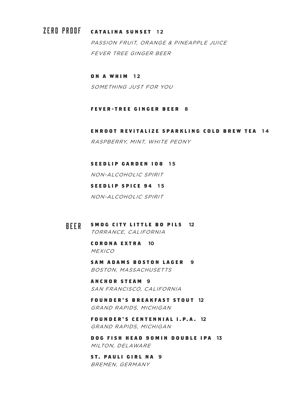# ZERO PROOF **CATALINA SUNSET 1 2**

PASSION FRUIT, ORANGE & PINEAPPLE JUICE FEVER TREE GINGER BEER

#### **ON A WHIM 12**

SOMETHING JUST FOR YOU

#### **FEVER-TREE GINGER BEER 8**

**ENROOT REVITALIZE SPARKLING COLD BREW TEA 1 4** RASPBERRY, MINT, WHITE PEONY

#### **SEEDLIP GARDEN 108 15**

NON-ALCOHOLIC SPIRIT

#### **SEEDLIP SPICE 94 15**

NON-ALCOHOLIC SPIRIT

#### **SMOG CITY LITTLE BO PILS 12** TORRANCE, CALIFORNIA BEER

**CORONA EXTRA 10 MEXICO** 

**SAM ADAMS BOSTON LAGER 9** BOSTON, MASSACHUSETTS

**ANCHOR STEAM 9** SAN FRANCISCO, CALIFORNIA

**FOUNDER'S BREAKFAST STOUT 12** GRAND RAPIDS, MICHIGAN

**FOUNDER'S CENTENNIAL I.P. A . 12** GRAND RAPIDS, MICHIGAN

**DOG FISH HEAD 90MIN DOUBLE IPA 13** MILTON, DELAWARE

**ST. PAULI GIRL NA 9** BREMEN, GERMANY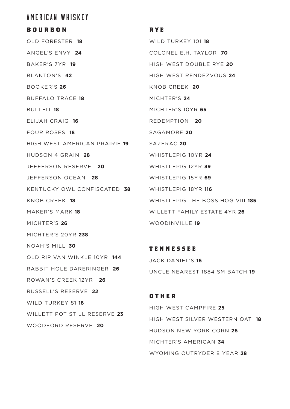# AMERICAN WHISKEY

#### **BOURBON**

OLD FORESTER **18** ANGEL'S ENVY **24** BAKER'S 7YR **19** BLANTON'S **42** BOOKER'S **26** BUFFALO TRACE **18** BULLEIT **18** ELIJAH CRAIG **16** FOUR ROSES **18** HIGH WEST AMERICAN PRAIRIE **19** SAZERAC **20** HUDSON 4 GRAIN **28** JEFFERSON RESERVE **20** JEFFERSON OCEAN **28** KENTUCKY OWL CONFISCATED **38** WHISTLEPIG 18YR **116** KNOB CREEK **18** MAKER'S MARK **18** MICHTER'S **26** MICHTER'S 20YR **238** NOAH'S MILL **30** OLD RIP VAN WINKLE 10YR **144** RABBIT HOLE DARERINGER **26** ROWAN'S CREEK 12YR **26** RUSSELL'S RESERVE **22** WILD TURKEY 81 **18** WILLETT POT STILL RESERVE **23** WOODFORD RESERVE **20**

#### **RYE**

WILD TURKEY 101 **18** COLONEL E.H. TAYLOR **70** HIGH WEST DOUBLE RYE **20** HIGH WEST RENDEZVOUS **24** KNOB CREEK **20** MICHTER'S **24** MICHTER'S 10YR **65** REDEMPTION **20** SAGAMORE **20** WHISTLEPIG 10YR **24** WHISTLEPIG 12YR **39** WHISTLEPIG 15YR **69** WHISTLEPIG THE BOSS HOG VIII **185** WILLETT FAMILY ESTATE 4YR **26** WOODINVILLE **19**

**TENNESSEE** JACK DANIEL'S **16** UNCLE NEAREST 1884 SM BATCH **19**

**OTHER** HIGH WEST CAMPFIRE **25** HIGH WEST SILVER WESTERN OAT **18** HUDSON NEW YORK CORN **26** MICHTER'S AMERICAN **34** WYOMING OUTRYDER 8 YEAR **28**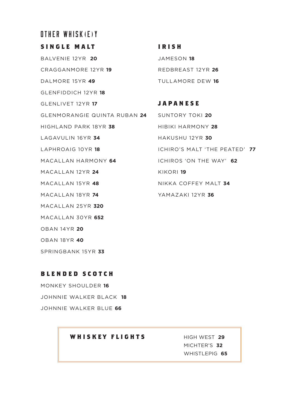# OTHER WHISK (E)Y

**SINGLE MALT** BALVENIE 12YR **20** CRAGGANMORE 12YR **19** DALMORE 15YR **49** GLENFIDDICH 12YR **18** GLENLIVET 12YR **17** GLENMORANGIE QUINTA RUBAN **24** HIGHLAND PARK 18YR **38** LAGAVULIN 16YR **34** LAPHROAIG 10YR **18** MACALLAN HARMONY **64** MACALLAN 12YR **24** MACALLAN 15YR **48** MACALLAN 18YR **74** MACALLAN 25YR **320** MACALLAN 30YR **652** OBAN 14YR **20** OBAN 18YR **40**

**IRISH** JAMESON **18** REDBREAST 12YR **26** TULLAMORE DEW **16**

**JAPANESE** SUNTORY TOKI **20** HIBIKI HARMONY **28** HAKUSHU 12YR **30** ICHIRO'S MALT 'THE PEATED' **77** ICHIROS 'ON THE WAY' **62** KIKORI **19** NIKKA COFFEY MALT **34** YAMAZAKI 12YR **36**

#### **B L E N D E D S C O T C H**

SPRINGBANK 15YR **33**

MONKEY SHOULDER **16** JOHNNIE WALKER BLACK **18** JOHNNIE WALKER BLUE **66**

#### **WHISKEY FLIGHTS** HIGH WEST **29**

 MICHTER'S **32** WHISTLEPIG **65**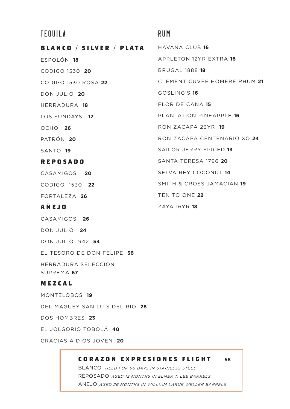# TEQUILA RUM

**BLANCO / SILVER / PLATA** ESPOLÓN **18** CODIGO 1530 **20** CODIGO 1530 ROSA **22** DON JULIO **20** HERRADURA **18** LOS SUNDAYS **17** OCHO **26** PATRÓN **20** SANTO **19 REPOSADO** CASAMIGOS **20** CODIGO 1530 **22** 

FORTALEZA **26**

### **AÑEJO**

CASAMIGOS **26**

DON JULIO **24**

DON JULIO 1942 **54**

EL TESORO DE DON FELIPE **36**

HERRADURA SELECCION SUPREMA **67**

#### **MEZCAL**

MONTELOBOS **19**

DEL MAGUEY SAN LUIS DEL RIO **28**

DOS HOMBRES **23**

EL JOLGORIO TOBOLÁ **40**

GRACIAS A DIOS JOVEN **20**

ī

HAVANA CLUB **16** APPLETON 12YR EXTRA **16** BRUGAL 1888 **18** CLEMENT CUVÉE HOMERE RHUM **21** GOSLING'S **16** FLOR DE CAÑA **15** PLANTATION PINEAPPLE **16** RON ZACAPA 23YR **19** RON ZACAPA CENTENARIO XO **24** SAILOR JERRY SPICED **13** SANTA TERESA 1796 **20** SELVA REY COCONUT **14** SMITH & CROSS JAMACIAN **19** TEN TO ONE **22** ZAYA 16YR **18**

**CORAZON EXPRESIONES FLIGHT 58**

BLANCO HELD FOR 60 DAYS IN STAINLESS STEEL REPOSADO AGED 12 MONTHS IN ELMER T. LEE BARRELS ANEJO AGED 26 MONTHS IN WILLIAM LARUE WELLER BARRELS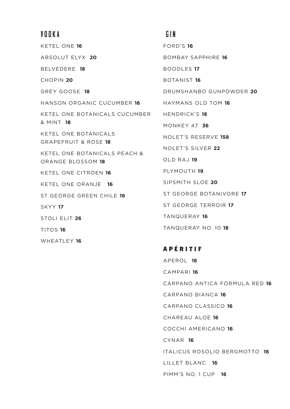# VODKA GIN

KETEL ONE **16** ABSOLUT ELYX **20** BELVEDERE **18** CHOPIN **20** GREY GOOSE **18** HANSON ORGANIC CUCUMBER **16** KETEL ONE BOTANICALS CUCUMBER & MINT **18** KETEL ONE BOTANICALS GRAPEFRUIT & ROSE **18** KETEL ONE BOTANICALS PEACH & ORANGE BLOSSOM **18** KETEL ONE CITROEN **16** KETEL ONE ORANJE **16** ST GEORGE GREEN CHILE **16** SKYY **17** STOLI ELIT **26** TITOS **16** WHEATLEY **16**

FORD'S **16** BOMBAY SAPPHIRE **16** BOODLES **17** BOTANIST **16** DRUMSHANBO GUNPOWDER **20** HAYMANS OLD TOM **16** HENDRICK'S **18** MONKEY 47 **36** NOLET'S RESERVE **158** NOLET'S SILVER **22** OLD RAJ **19** PLYMOUTH **19** SIPSMITH SLOE **20** ST GEORGE BOTANIVORE **17** ST GEORGE TERROIR **17** TANQUERAY **16** TANQUERAY NO. 10 **18**

**A P É RITIF** APEROL **16** CAMPARI **16** CARPANO ANTICA FORMULA RED **16** CARPANO BIANCA **16** CARPANO CLASSICO **16**  CHAREAU ALOE **16** COCCHI AMERICANO **16** CYNAR **16** ITALICUS ROSOLIO BERGMOTTO **16** LILLET BLANC **16** PIMM'S NO. 1 CUP **16**